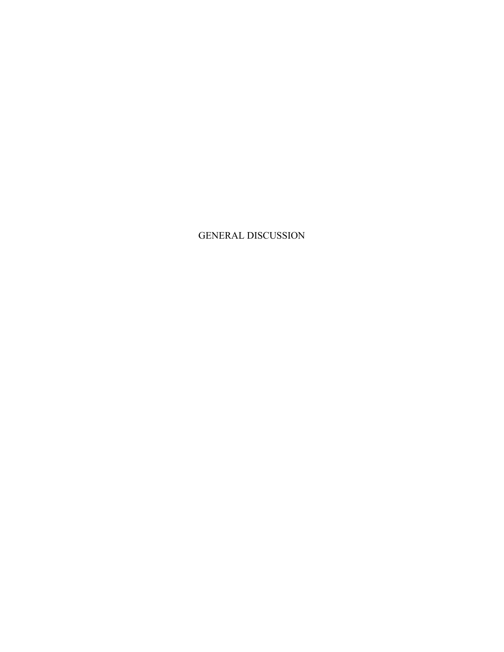GENERAL DISCUSSION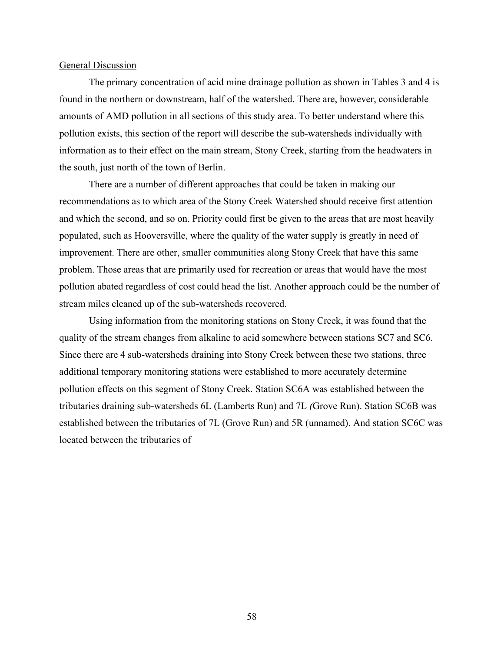#### General Discussion

The primary concentration of acid mine drainage pollution as shown in Tables 3 and 4 is found in the northern or downstream, half of the watershed. There are, however, considerable amounts of AMD pollution in all sections of this study area. To better understand where this pollution exists, this section of the report will describe the sub-watersheds individually with information as to their effect on the main stream, Stony Creek, starting from the headwaters in the south, just north of the town of Berlin.

There are a number of different approaches that could be taken in making our recommendations as to which area of the Stony Creek Watershed should receive first attention and which the second, and so on. Priority could first be given to the areas that are most heavily populated, such as Hooversville, where the quality of the water supply is greatly in need of improvement. There are other, smaller communities along Stony Creek that have this same problem. Those areas that are primarily used for recreation or areas that would have the most pollution abated regardless of cost could head the list. Another approach could be the number of stream miles cleaned up of the sub-watersheds recovered.

Using information from the monitoring stations on Stony Creek, it was found that the quality of the stream changes from alkaline to acid somewhere between stations SC7 and SC6. Since there are 4 sub-watersheds draining into Stony Creek between these two stations, three additional temporary monitoring stations were established to more accurately determine pollution effects on this segment of Stony Creek. Station SC6A was established between the tributaries draining sub-watersheds 6L (Lamberts Run) and 7L *(*Grove Run). Station SC6B was established between the tributaries of 7L (Grove Run) and 5R (unnamed). And station SC6C was located between the tributaries of

58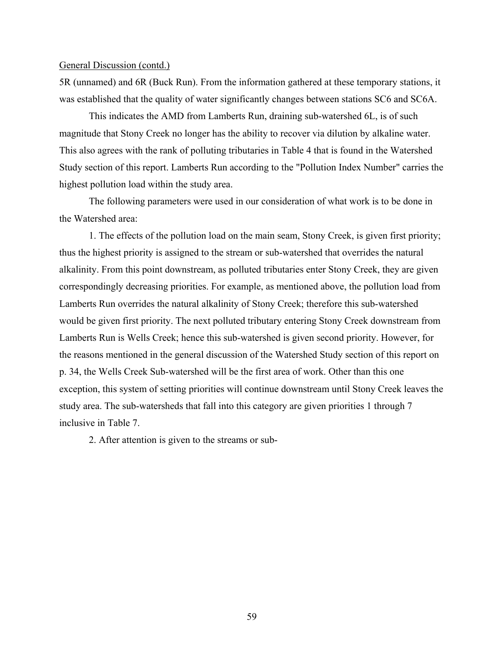5R (unnamed) and 6R (Buck Run). From the information gathered at these temporary stations, it was established that the quality of water significantly changes between stations SC6 and SC6A.

This indicates the AMD from Lamberts Run, draining sub-watershed 6L, is of such magnitude that Stony Creek no longer has the ability to recover via dilution by alkaline water. This also agrees with the rank of polluting tributaries in Table 4 that is found in the Watershed Study section of this report. Lamberts Run according to the "Pollution Index Number" carries the highest pollution load within the study area.

The following parameters were used in our consideration of what work is to be done in the Watershed area:

1. The effects of the pollution load on the main seam, Stony Creek, is given first priority; thus the highest priority is assigned to the stream or sub-watershed that overrides the natural alkalinity. From this point downstream, as polluted tributaries enter Stony Creek, they are given correspondingly decreasing priorities. For example, as mentioned above, the pollution load from Lamberts Run overrides the natural alkalinity of Stony Creek; therefore this sub-watershed would be given first priority. The next polluted tributary entering Stony Creek downstream from Lamberts Run is Wells Creek; hence this sub-watershed is given second priority. However, for the reasons mentioned in the general discussion of the Watershed Study section of this report on p. 34, the Wells Creek Sub-watershed will be the first area of work. Other than this one exception, this system of setting priorities will continue downstream until Stony Creek leaves the study area. The sub-watersheds that fall into this category are given priorities 1 through 7 inclusive in Table 7.

2. After attention is given to the streams or sub-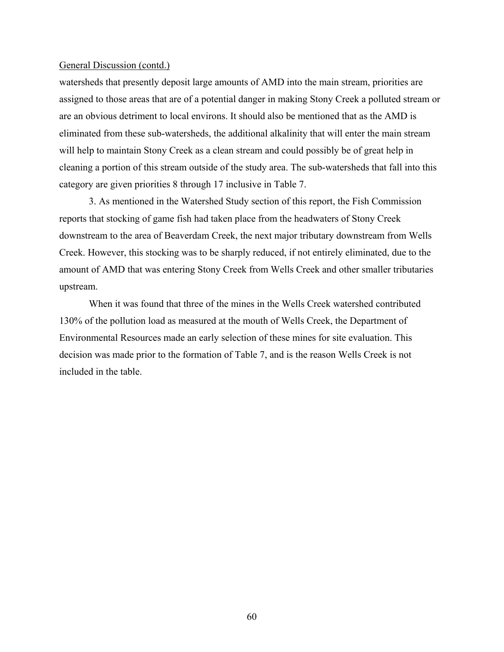watersheds that presently deposit large amounts of AMD into the main stream, priorities are assigned to those areas that are of a potential danger in making Stony Creek a polluted stream or are an obvious detriment to local environs. It should also be mentioned that as the AMD is eliminated from these sub-watersheds, the additional alkalinity that will enter the main stream will help to maintain Stony Creek as a clean stream and could possibly be of great help in cleaning a portion of this stream outside of the study area. The sub-watersheds that fall into this category are given priorities 8 through 17 inclusive in Table 7.

3. As mentioned in the Watershed Study section of this report, the Fish Commission reports that stocking of game fish had taken place from the headwaters of Stony Creek downstream to the area of Beaverdam Creek, the next major tributary downstream from Wells Creek. However, this stocking was to be sharply reduced, if not entirely eliminated, due to the amount of AMD that was entering Stony Creek from Wells Creek and other smaller tributaries upstream.

When it was found that three of the mines in the Wells Creek watershed contributed 130% of the pollution load as measured at the mouth of Wells Creek, the Department of Environmental Resources made an early selection of these mines for site evaluation. This decision was made prior to the formation of Table 7, and is the reason Wells Creek is not included in the table.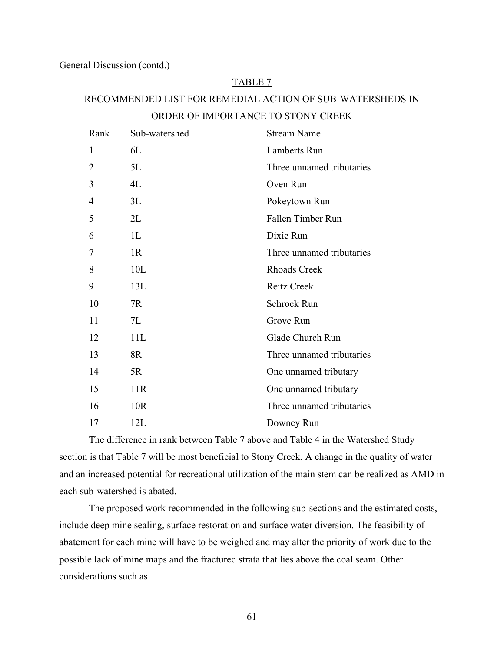### TABLE 7

# RECOMMENDED LIST FOR REMEDIAL ACTION OF SUB-WATERSHEDS IN ORDER OF IMPORTANCE TO STONY CREEK

| Rank           | Sub-watershed   | <b>Stream Name</b>        |
|----------------|-----------------|---------------------------|
| 1              | 6L              | Lamberts Run              |
| $\overline{2}$ | 5L              | Three unnamed tributaries |
| 3              | 4L              | Oven Run                  |
| 4              | 3L              | Pokeytown Run             |
| 5              | 2L              | Fallen Timber Run         |
| 6              | 1L              | Dixie Run                 |
| 7              | 1R              | Three unnamed tributaries |
| 8              | 10L             | <b>Rhoads Creek</b>       |
| 9              | 13L             | <b>Reitz Creek</b>        |
| 10             | 7R              | Schrock Run               |
| 11             | 7L              | Grove Run                 |
| 12             | 11L             | Glade Church Run          |
| 13             | 8R              | Three unnamed tributaries |
| 14             | 5R              | One unnamed tributary     |
| 15             | 11R             | One unnamed tributary     |
| 16             | 10 <sub>R</sub> | Three unnamed tributaries |
| 17             | 12L             | Downey Run                |

The difference in rank between Table 7 above and Table 4 in the Watershed Study section is that Table 7 will be most beneficial to Stony Creek. A change in the quality of water and an increased potential for recreational utilization of the main stem can be realized as AMD in each sub-watershed is abated.

The proposed work recommended in the following sub-sections and the estimated costs, include deep mine sealing, surface restoration and surface water diversion. The feasibility of abatement for each mine will have to be weighed and may alter the priority of work due to the possible lack of mine maps and the fractured strata that lies above the coal seam. Other considerations such as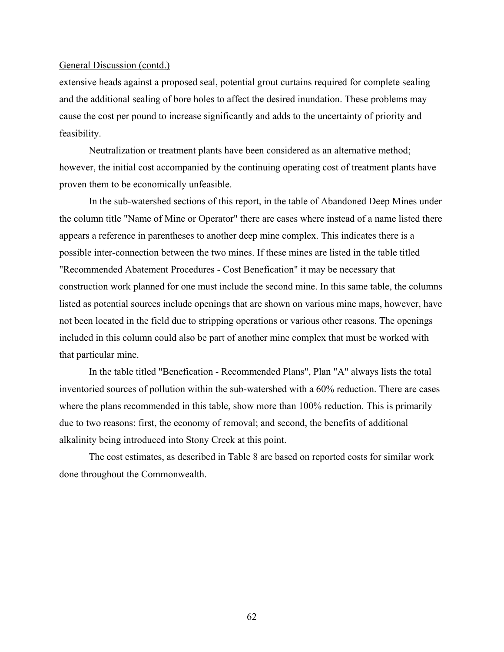extensive heads against a proposed seal, potential grout curtains required for complete sealing and the additional sealing of bore holes to affect the desired inundation. These problems may cause the cost per pound to increase significantly and adds to the uncertainty of priority and feasibility.

Neutralization or treatment plants have been considered as an alternative method; however, the initial cost accompanied by the continuing operating cost of treatment plants have proven them to be economically unfeasible.

In the sub-watershed sections of this report, in the table of Abandoned Deep Mines under the column title "Name of Mine or Operator" there are cases where instead of a name listed there appears a reference in parentheses to another deep mine complex. This indicates there is a possible inter-connection between the two mines. If these mines are listed in the table titled "Recommended Abatement Procedures - Cost Benefication" it may be necessary that construction work planned for one must include the second mine. In this same table, the columns listed as potential sources include openings that are shown on various mine maps, however, have not been located in the field due to stripping operations or various other reasons. The openings included in this column could also be part of another mine complex that must be worked with that particular mine.

In the table titled "Benefication - Recommended Plans", Plan "A" always lists the total inventoried sources of pollution within the sub-watershed with a 60% reduction. There are cases where the plans recommended in this table, show more than 100% reduction. This is primarily due to two reasons: first, the economy of removal; and second, the benefits of additional alkalinity being introduced into Stony Creek at this point.

The cost estimates, as described in Table 8 are based on reported costs for similar work done throughout the Commonwealth.

62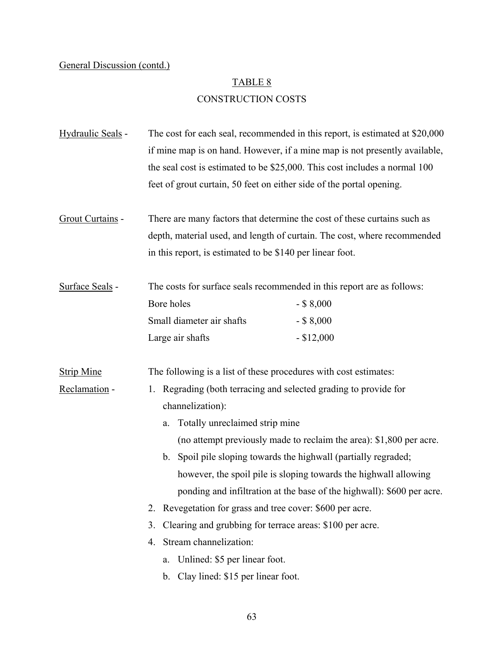## TABLE 8

# CONSTRUCTION COSTS

| Hydraulic Seals - | The cost for each seal, recommended in this report, is estimated at \$20,000<br>if mine map is on hand. However, if a mine map is not presently available,<br>the seal cost is estimated to be \$25,000. This cost includes a normal 100<br>feet of grout curtain, 50 feet on either side of the portal opening. |                                                                        |  |
|-------------------|------------------------------------------------------------------------------------------------------------------------------------------------------------------------------------------------------------------------------------------------------------------------------------------------------------------|------------------------------------------------------------------------|--|
|                   |                                                                                                                                                                                                                                                                                                                  |                                                                        |  |
|                   |                                                                                                                                                                                                                                                                                                                  |                                                                        |  |
| Grout Curtains -  | There are many factors that determine the cost of these curtains such as                                                                                                                                                                                                                                         |                                                                        |  |
|                   | depth, material used, and length of curtain. The cost, where recommended                                                                                                                                                                                                                                         |                                                                        |  |
|                   | in this report, is estimated to be \$140 per linear foot.                                                                                                                                                                                                                                                        |                                                                        |  |
| Surface Seals -   | The costs for surface seals recommended in this report are as follows:                                                                                                                                                                                                                                           |                                                                        |  |
|                   | Bore holes                                                                                                                                                                                                                                                                                                       | $-$ \$ 8,000                                                           |  |
|                   | Small diameter air shafts                                                                                                                                                                                                                                                                                        | $-$ \$ 8,000                                                           |  |
|                   | Large air shafts                                                                                                                                                                                                                                                                                                 | $-$ \$12,000                                                           |  |
| <b>Strip Mine</b> | The following is a list of these procedures with cost estimates:                                                                                                                                                                                                                                                 |                                                                        |  |
| Reclamation -     | Regrading (both terracing and selected grading to provide for<br>1.                                                                                                                                                                                                                                              |                                                                        |  |
|                   | channelization):                                                                                                                                                                                                                                                                                                 |                                                                        |  |
|                   | Totally unreclaimed strip mine<br>a.                                                                                                                                                                                                                                                                             |                                                                        |  |
|                   |                                                                                                                                                                                                                                                                                                                  | (no attempt previously made to reclaim the area): \$1,800 per acre.    |  |
|                   | b.                                                                                                                                                                                                                                                                                                               | Spoil pile sloping towards the highwall (partially regraded;           |  |
|                   |                                                                                                                                                                                                                                                                                                                  | however, the spoil pile is sloping towards the highwall allowing       |  |
|                   |                                                                                                                                                                                                                                                                                                                  | ponding and infiltration at the base of the highwall): \$600 per acre. |  |
|                   | 2. Revegetation for grass and tree cover: \$600 per acre.                                                                                                                                                                                                                                                        |                                                                        |  |
|                   | Clearing and grubbing for terrace areas: \$100 per acre.<br>3.                                                                                                                                                                                                                                                   |                                                                        |  |
|                   | Stream channelization:<br>4.                                                                                                                                                                                                                                                                                     |                                                                        |  |
|                   | Unlined: \$5 per linear foot.<br>a.                                                                                                                                                                                                                                                                              |                                                                        |  |
|                   | Clay lined: \$15 per linear foot.<br>b.                                                                                                                                                                                                                                                                          |                                                                        |  |